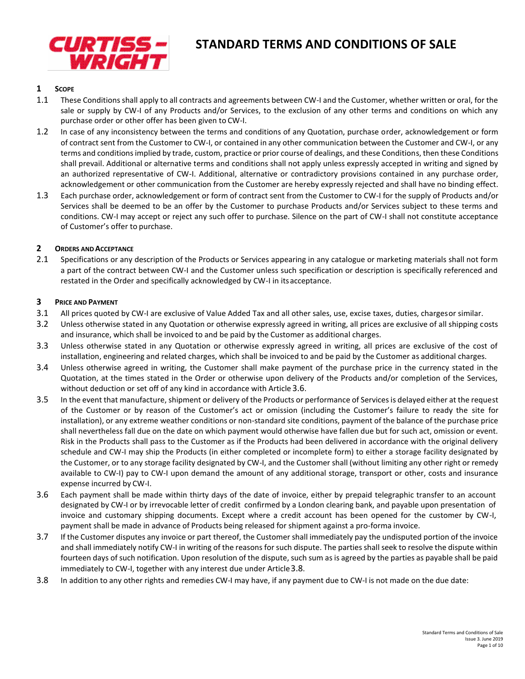

# **STANDARD TERMS AND CONDITIONS OF SALE**

## **1 SCOPE**

- 1.1 These Conditions shall apply to all contracts and agreements between CW-I and the Customer, whether written or oral, for the sale or supply by CW-I of any Products and/or Services, to the exclusion of any other terms and conditions on which any purchase order or other offer has been given to CW-I.
- 1.2 In case of any inconsistency between the terms and conditions of any Quotation, purchase order, acknowledgement or form of contract sent from the Customer to CW-I, or contained in any other communication between the Customer and CW-I, or any terms and conditions implied by trade, custom, practice or prior course of dealings, and these Conditions, then these Conditions shall prevail. Additional or alternative terms and conditions shall not apply unless expressly accepted in writing and signed by an authorized representative of CW-I. Additional, alternative or contradictory provisions contained in any purchase order, acknowledgement or other communication from the Customer are hereby expressly rejected and shall have no binding effect.
- 1.3 Each purchase order, acknowledgement or form of contract sent from the Customer to CW-I for the supply of Products and/or Services shall be deemed to be an offer by the Customer to purchase Products and/or Services subject to these terms and conditions. CW-I may accept or reject any such offer to purchase. Silence on the part of CW-I shall not constitute acceptance of Customer's offer to purchase.

#### **2 ORDERS AND ACCEPTANCE**

2.1 Specifications or any description of the Products or Services appearing in any catalogue or marketing materials shall not form a part of the contract between CW-I and the Customer unless such specification or description is specifically referenced and restated in the Order and specifically acknowledged by CW-I in itsacceptance.

#### **3 PRICE AND PAYMENT**

- 3.1 All prices quoted by CW-I are exclusive of Value Added Tax and all other sales, use, excise taxes, duties, chargesor similar.
- 3.2 Unless otherwise stated in any Quotation or otherwise expressly agreed in writing, all prices are exclusive of all shipping costs and insurance, which shall be invoiced to and be paid by the Customer as additional charges.
- 3.3 Unless otherwise stated in any Quotation or otherwise expressly agreed in writing, all prices are exclusive of the cost of installation, engineering and related charges, which shall be invoiced to and be paid by the Customer as additional charges.
- 3.4 Unless otherwise agreed in writing, the Customer shall make payment of the purchase price in the currency stated in the Quotation, at the times stated in the Order or otherwise upon delivery of the Products and/or completion of the Services, without deduction or set off of any kind in accordance with Article [3.6](#page-0-0).
- <span id="page-0-2"></span>3.5 In the event that manufacture, shipment or delivery of the Products or performance of Services is delayed either at the request of the Customer or by reason of the Customer's act or omission (including the Customer's failure to ready the site for installation), or any extreme weather conditions or non-standard site conditions, payment of the balance of the purchase price shall nevertheless fall due on the date on which payment would otherwise have fallen due but for such act, omission or event. Risk in the Products shall pass to the Customer as if the Products had been delivered in accordance with the original delivery schedule and CW-I may ship the Products (in either completed or incomplete form) to either a storage facility designated by the Customer, or to any storage facility designated by CW-I, and the Customer shall (without limiting any other right or remedy available to CW-I) pay to CW-I upon demand the amount of any additional storage, transport or other, costs and insurance expense incurred by CW-I.
- <span id="page-0-0"></span>3.6 Each payment shall be made within thirty days of the date of invoice, either by prepaid telegraphic transfer to an account designated by CW-I or by irrevocable letter of credit confirmed by a London clearing bank, and payable upon presentation of invoice and customary shipping documents. Except where a credit account has been opened for the customer by CW-I, payment shall be made in advance of Products being released for shipment against a pro-forma invoice.
- 3.7 If the Customer disputes any invoice or part thereof, the Customer shall immediately pay the undisputed portion of the invoice and shall immediately notify CW-I in writing of the reasons for such dispute. The parties shall seek to resolve the dispute within fourteen days of such notification. Upon resolution of the dispute, such sum as is agreed by the parties as payable shall be paid immediately to CW-I, together with any interest due under Article [3.8](#page-0-1).
- <span id="page-0-1"></span>3.8 In addition to any other rights and remedies CW-I may have, if any payment due to CW-I is not made on the due date: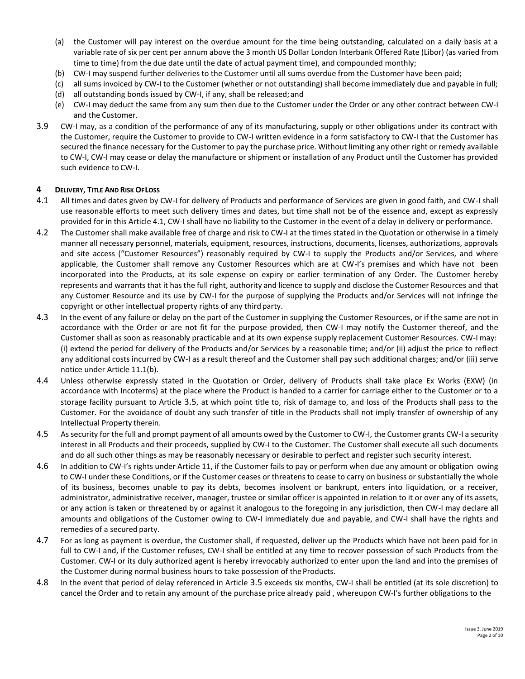- (a) the Customer will pay interest on the overdue amount for the time being outstanding, calculated on a daily basis at a variable rate of six per cent per annum above the 3 month US Dollar London Interbank Offered Rate (Libor) (as varied from time to time) from the due date until the date of actual payment time), and compounded monthly;
- (b) CW-I may suspend further deliveries to the Customer until all sums overdue from the Customer have been paid;
- (c) all sums invoiced by CW-I to the Customer (whether or not outstanding) shall become immediately due and payable in full;
- (d) all outstanding bonds issued by CW-I, if any, shall be released;and
- (e) CW-I may deduct the same from any sum then due to the Customer under the Order or any other contract between CW-I and the Customer.
- 3.9 CW-I may, as a condition of the performance of any of its manufacturing, supply or other obligations under its contract with the Customer, require the Customer to provide to CW-I written evidence in a form satisfactory to CW-I that the Customer has secured the finance necessary for the Customer to pay the purchase price. Without limiting any other right or remedy available to CW-I, CW-I may cease or delay the manufacture or shipment or installation of any Product until the Customer has provided such evidence to CW-I.

#### **4 DELIVERY, TITLE AND RISK OFLOSS**

- <span id="page-1-0"></span>4.1 All times and dates given by CW-I for delivery of Products and performance of Services are given in good faith, and CW-I shall use reasonable efforts to meet such delivery times and dates, but time shall not be of the essence and, except as expressly provided for in this Article [4.1,](#page-1-0) CW-I shall have no liability to the Customer in the event of a delay in delivery or performance.
- 4.2 The Customer shall make available free of charge and risk to CW-I at the times stated in the Quotation or otherwise in a timely manner all necessary personnel, materials, equipment, resources, instructions, documents, licenses, authorizations, approvals and site access ("Customer Resources") reasonably required by CW-I to supply the Products and/or Services, and where applicable, the Customer shall remove any Customer Resources which are at CW-I's premises and which have not been incorporated into the Products, at its sole expense on expiry or earlier termination of any Order. The Customer hereby represents and warrants that it has the full right, authority and licence to supply and disclose the Customer Resources and that any Customer Resource and its use by CW-I for the purpose of supplying the Products and/or Services will not infringe the copyright or other intellectual property rights of any third party.
- 4.3 In the event of any failure or delay on the part of the Customer in supplying the Customer Resources, or if the same are not in accordance with the Order or are not fit for the purpose provided, then CW-I may notify the Customer thereof, and the Customer shall as soon as reasonably practicable and at its own expense supply replacement Customer Resources. CW-I may: (i) extend the period for delivery of the Products and/or Services by a reasonable time; and/or (ii) adjust the price to reflect any additional costs incurred by CW-I as a result thereof and the Customer shall pay such additional charges; and/or (iii) serve notice under Articl[e 11.1\(b\).](#page-4-0)
- 4.4 Unless otherwise expressly stated in the Quotation or Order, delivery of Products shall take place Ex Works (EXW) (in accordance with Incoterms) at the place where the Product is handed to a carrier for carriage either to the Customer or to a storage facility pursuant to Article [3.5](#page-0-2), at which point title to, risk of damage to, and loss of the Products shall pass to the Customer. For the avoidance of doubt any such transfer of title in the Products shall not imply transfer of ownership of any Intellectual Property therein.
- 4.5 As security for the full and prompt payment of all amounts owed by the Customer to CW-I, the Customer grants CW-I a security interest in all Products and their proceeds, supplied by CW-I to the Customer. The Customer shall execute all such documents and do all such other things as may be reasonably necessary or desirable to perfect and register such security interest.
- 4.6 In addition to CW-I's rights under Article [11,](#page-4-1) if the Customer fails to pay or perform when due any amount or obligation owing to CW-I under these Conditions, or if the Customer ceases or threatens to cease to carry on business or substantially the whole of its business, becomes unable to pay its debts, becomes insolvent or bankrupt, enters into liquidation, or a receiver, administrator, administrative receiver, manager, trustee or similar officer is appointed in relation to it or over any of its assets, or any action is taken or threatened by or against it analogous to the foregoing in any jurisdiction, then CW-I may declare all amounts and obligations of the Customer owing to CW-I immediately due and payable, and CW-I shall have the rights and remedies of a secured party.
- 4.7 For as long as payment is overdue, the Customer shall, if requested, deliver up the Products which have not been paid for in full to CW-I and, if the Customer refuses, CW-I shall be entitled at any time to recover possession of such Products from the Customer. CW-I or its duly authorized agent is hereby irrevocably authorized to enter upon the land and into the premises of the Customer during normal business hours to take possession of theProducts.
- <span id="page-1-1"></span>4.8 In the event that period of delay referenced in Article [3.5](#page-0-2) exceeds six months, CW-I shall be entitled (at its sole discretion) to cancel the Order and to retain any amount of the purchase price already paid , whereupon CW-I's further obligations to the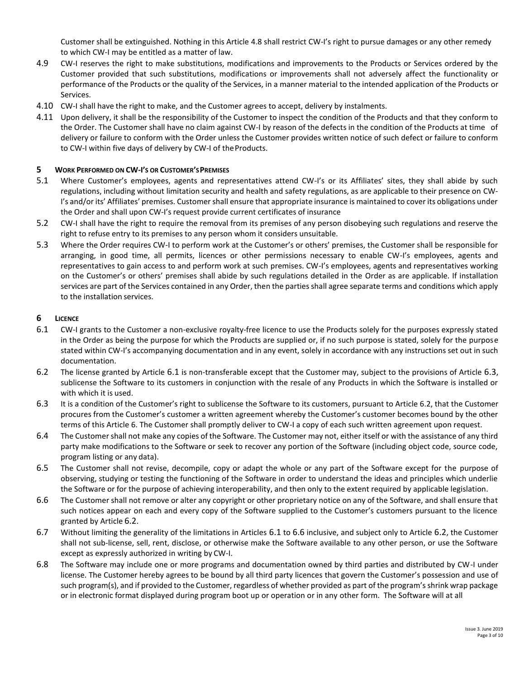Customer shall be extinguished. Nothing in this Article [4.8](#page-1-1) shall restrict CW-I's right to pursue damages or any other remedy to which CW-I may be entitled as a matter of law.

- 4.9 CW-I reserves the right to make substitutions, modifications and improvements to the Products or Services ordered by the Customer provided that such substitutions, modifications or improvements shall not adversely affect the functionality or performance of the Products or the quality of the Services, in a manner material to the intended application of the Products or Services.
- 4.10 CW-I shall have the right to make, and the Customer agrees to accept, delivery by instalments.
- 4.11 Upon delivery, it shall be the responsibility of the Customer to inspect the condition of the Products and that they conform to the Order. The Customer shall have no claim against CW-I by reason of the defects in the condition of the Products at time of delivery or failure to conform with the Order unless the Customer provides written notice of such defect or failure to conform to CW-I within five days of delivery by CW-I of the Products.

## **5 WORK PERFORMED ON CW-I'S OR CUSTOMER'SPREMISES**

- 5.1 Where Customer's employees, agents and representatives attend CW-I's or its Affiliates' sites, they shall abide by such regulations, including without limitation security and health and safety regulations, as are applicable to their presence on CW-I's and/or its' Affiliates' premises. Customer shall ensure that appropriate insurance is maintained to cover its obligations under the Order and shall upon CW-I's request provide current certificates of insurance
- 5.2 CW-I shall have the right to require the removal from its premises of any person disobeying such regulations and reserve the right to refuse entry to its premises to any person whom it considers unsuitable.
- 5.3 Where the Order requires CW-I to perform work at the Customer's or others' premises, the Customer shall be responsible for arranging, in good time, all permits, licences or other permissions necessary to enable CW-I's employees, agents and representatives to gain access to and perform work at such premises. CW-I's employees, agents and representatives working on the Customer's or others' premises shall abide by such regulations detailed in the Order as are applicable. If installation services are part of the Services contained in any Order, then the parties shall agree separate terms and conditions which apply to the installation services.

## <span id="page-2-0"></span>**6 LICENCE**

- 6.1 CW-I grants to the Customer a non-exclusive royalty-free licence to use the Products solely for the purposes expressly stated in the Order as being the purpose for which the Products are supplied or, if no such purpose is stated, solely for the purpose stated within CW-I's accompanying documentation and in any event, solely in accordance with any instructions set out in such documentation.
- <span id="page-2-2"></span>6.2 The license granted by Article [6.1](#page-2-0) is non-transferable except that the Customer may, subject to the provisions of Article [6.3](#page-2-1), sublicense the Software to its customers in conjunction with the resale of any Products in which the Software is installed or with which it is used.
- <span id="page-2-1"></span>6.3 It is a condition of the Customer's right to sublicense the Software to its customers, pursuant to Article [6.2,](#page-2-2) that the Customer procures from the Customer's customer a written agreement whereby the Customer's customer becomes bound by the other terms of this Article [6.](#page-2-0) The Customer shall promptly deliver to CW-I a copy of each such written agreement upon request.
- 6.4 The Customer shall not make any copies of the Software. The Customer may not, either itself or with the assistance of any third party make modifications to the Software or seek to recover any portion of the Software (including object code, source code, program listing or any data).
- 6.5 The Customer shall not revise, decompile, copy or adapt the whole or any part of the Software except for the purpose of observing, studying or testing the functioning of the Software in order to understand the ideas and principles which underlie the Software or for the purpose of achieving interoperability, and then only to the extent required by applicable legislation.
- <span id="page-2-3"></span>6.6 The Customer shall not remove or alter any copyright or other proprietary notice on any of the Software, and shall ensure that such notices appear on each and every copy of the Software supplied to the Customer's customers pursuant to the licence granted by Article [6.2](#page-2-2).
- 6.7 Without limiting the generality of the limitations in Articles [6.1](#page-2-0) to [6.6](#page-2-3) inclusive, and subject only to Article [6.2](#page-2-2), the Customer shall not sub-license, sell, rent, disclose, or otherwise make the Software available to any other person, or use the Software except as expressly authorized in writing by CW-I.
- 6.8 The Software may include one or more programs and documentation owned by third parties and distributed by CW-I under license. The Customer hereby agrees to be bound by all third party licences that govern the Customer's possession and use of such program(s), and if provided to the Customer, regardless of whether provided as part of the program's shrink wrap package or in electronic format displayed during program boot up or operation or in any other form. The Software will at all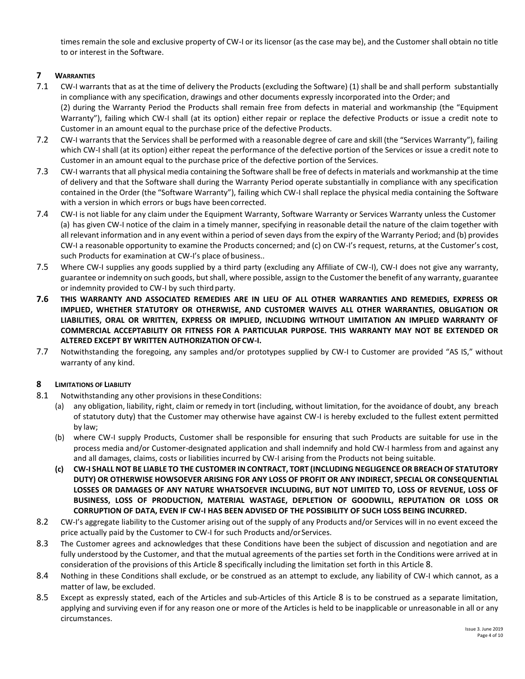times remain the sole and exclusive property of CW-I or its licensor (as the case may be), and the Customer shall obtain no title to or interest in the Software.

# <span id="page-3-1"></span>**7 WARRANTIES**

- <span id="page-3-2"></span>7.1 CW-I warrants that as at the time of delivery the Products (excluding the Software) (1) shall be and shall perform substantially in compliance with any specification, drawings and other documents expressly incorporated into the Order; and (2) during the Warranty Period the Products shall remain free from defects in material and workmanship (the "Equipment Warranty"), failing which CW-I shall (at its option) either repair or replace the defective Products or issue a credit note to Customer in an amount equal to the purchase price of the defective Products.
- <span id="page-3-3"></span>7.2 CW-I warrants that the Services shall be performed with a reasonable degree of care and skill (the "Services Warranty"), failing which CW-I shall (at its option) either repeat the performance of the defective portion of the Services or issue a credit note to Customer in an amount equal to the purchase price of the defective portion of the Services.
- <span id="page-3-4"></span>7.3 CW-I warrants that all physical media containing the Software shall be free of defects in materials and workmanship at the time of delivery and that the Software shall during the Warranty Period operate substantially in compliance with any specification contained in the Order (the "Software Warranty"), failing which CW-I shall replace the physical media containing the Software with a version in which errors or bugs have beencorrected.
- 7.4 CW-I is not liable for any claim under the Equipment Warranty, Software Warranty or Services Warranty unless the Customer (a) has given CW-I notice of the claim in a timely manner, specifying in reasonable detail the nature of the claim together with all relevant information and in any event within a period of seven days from the expiry of the Warranty Period; and (b) provides CW-I a reasonable opportunity to examine the Products concerned; and (c) on CW-I's request, returns, at the Customer's cost, such Products for examination at CW-I's place of business..
- 7.5 Where CW-I supplies any goods supplied by a third party (excluding any Affiliate of CW-I), CW-I does not give any warranty, guarantee or indemnity on such goods, but shall, where possible, assign to the Customer the benefit of any warranty, guarantee or indemnity provided to CW-I by such third party.
- **7.6 THIS WARRANTY AND ASSOCIATED REMEDIES ARE IN LIEU OF ALL OTHER WARRANTIES AND REMEDIES, EXPRESS OR IMPLIED, WHETHER STATUTORY OR OTHERWISE, AND CUSTOMER WAIVES ALL OTHER WARRANTIES, OBLIGATION OR LIABILITIES, ORAL OR WRITTEN, EXPRESS OR IMPLIED, INCLUDING WITHOUT LIMITATION AN IMPLIED WARRANTY OF COMMERCIAL ACCEPTABILITY OR FITNESS FOR A PARTICULAR PURPOSE. THIS WARRANTY MAY NOT BE EXTENDED OR ALTERED EXCEPT BY WRITTEN AUTHORIZATION OFCW-I.**
- 7.7 Notwithstanding the foregoing, any samples and/or prototypes supplied by CW-I to Customer are provided "AS IS," without warranty of any kind.

# <span id="page-3-0"></span>**8 LIMITATIONS OF LIABILITY**

- 8.1 Notwithstanding any other provisions in these Conditions:
	- (a) any obligation, liability, right, claim or remedy in tort (including, without limitation, for the avoidance of doubt, any breach of statutory duty) that the Customer may otherwise have against CW-I is hereby excluded to the fullest extent permitted by law;
	- (b) where CW-I supply Products, Customer shall be responsible for ensuring that such Products are suitable for use in the process media and/or Customer-designated application and shall indemnify and hold CW-I harmless from and against any and all damages, claims, costs or liabilities incurred by CW-I arising from the Products not being suitable.
	- **(c) CW-I SHALL NOT BE LIABLE TO THE CUSTOMER IN CONTRACT, TORT (INCLUDING NEGLIGENCE OR BREACH OF STATUTORY DUTY) OR OTHERWISE HOWSOEVER ARISING FOR ANY LOSS OF PROFIT OR ANY INDIRECT, SPECIAL OR CONSEQUENTIAL LOSSES OR DAMAGES OF ANY NATURE WHATSOEVER INCLUDING, BUT NOT LIMITED TO, LOSS OF REVENUE, LOSS OF BUSINESS, LOSS OF PRODUCTION, MATERIAL WASTAGE, DEPLETION OF GOODWILL, REPUTATION OR LOSS OR CORRUPTION OF DATA, EVEN IF CW-I HAS BEEN ADVISED OF THE POSSIBILITY OF SUCH LOSS BEING INCURRED.**
- 8.2 CW-I's aggregate liability to the Customer arising out of the supply of any Products and/or Services will in no event exceed the price actually paid by the Customer to CW-I for such Products and/orServices.
- 8.3 The Customer agrees and acknowledges that these Conditions have been the subject of discussion and negotiation and are fully understood by the Customer, and that the mutual agreements of the parties set forth in the Conditions were arrived at in consideration of the provisions of this Article [8](#page-3-0) specifically including the limitation set forth in this Article [8](#page-3-0).
- 8.4 Nothing in these Conditions shall exclude, or be construed as an attempt to exclude, any liability of CW-I which cannot, as a matter of law, be excluded.
- 8.5 Except as expressly stated, each of the Articles and sub-Articles of this Article [8](#page-3-0) is to be construed as a separate limitation, applying and surviving even if for any reason one or more of the Articles is held to be inapplicable or unreasonable in all or any circumstances.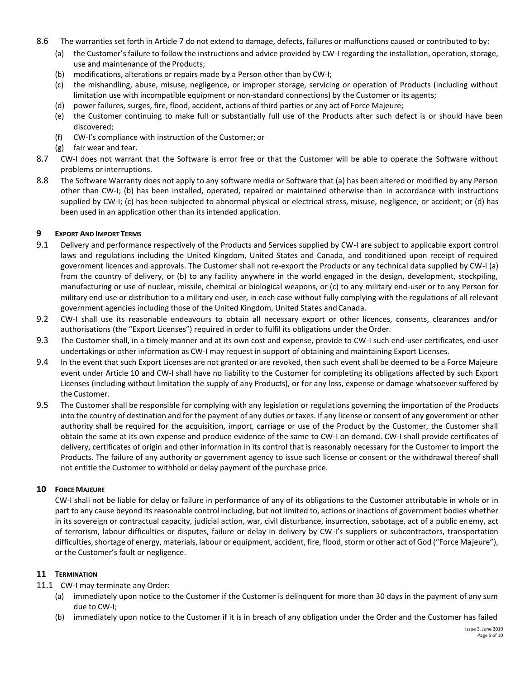- 8.6 The warranties set forth in Article [7](#page-3-1) do not extend to damage, defects, failures or malfunctions caused or contributed to by:
	- (a) the Customer's failure to follow the instructions and advice provided by CW-I regarding the installation, operation, storage, use and maintenance of the Products;
	- (b) modifications, alterations or repairs made by a Person other than by CW-I;
	- (c) the mishandling, abuse, misuse, negligence, or improper storage, servicing or operation of Products (including without limitation use with incompatible equipment or non-standard connections) by the Customer or its agents;
	- (d) power failures, surges, fire, flood, accident, actions of third parties or any act of Force Majeure;
	- (e) the Customer continuing to make full or substantially full use of the Products after such defect is or should have been discovered;
	- (f) CW-I's compliance with instruction of the Customer; or
	- (g) fair wear and tear.
- 8.7 CW-I does not warrant that the Software is error free or that the Customer will be able to operate the Software without problems orinterruptions.
- 8.8 The Software Warranty does not apply to any software media or Software that (a) has been altered or modified by any Person other than CW-I; (b) has been installed, operated, repaired or maintained otherwise than in accordance with instructions supplied by CW-I; (c) has been subjected to abnormal physical or electrical stress, misuse, negligence, or accident; or (d) has been used in an application other than its intended application.

#### **9 EXPORT AND IMPORT TERMS**

- 9.1 Delivery and performance respectively of the Products and Services supplied by CW-I are subject to applicable export control laws and regulations including the United Kingdom, United States and Canada, and conditioned upon receipt of required government licences and approvals. The Customer shall not re-export the Products or any technical data supplied by CW-I (a) from the country of delivery, or (b) to any facility anywhere in the world engaged in the design, development, stockpiling, manufacturing or use of nuclear, missile, chemical or biological weapons, or (c) to any military end-user or to any Person for military end-use or distribution to a military end-user, in each case without fully complying with the regulations of all relevant government agencies including those of the United Kingdom, United States and Canada.
- 9.2 CW-I shall use its reasonable endeavours to obtain all necessary export or other licences, consents, clearances and/or authorisations (the "Export Licenses") required in order to fulfil its obligations under the Order.
- 9.3 The Customer shall, in a timely manner and at its own cost and expense, provide to CW-I such end-user certificates, end-user undertakings or other information as CW-I may request in support of obtaining and maintaining Export Licenses.
- 9.4 In the event that such Export Licenses are not granted or are revoked, then such event shall be deemed to be a Force Majeure event under Article [10](#page-4-2) and CW-I shall have no liability to the Customer for completing its obligations affected by such Export Licenses (including without limitation the supply of any Products), or for any loss, expense or damage whatsoever suffered by the Customer.
- 9.5 The Customer shall be responsible for complying with any legislation or regulations governing the importation of the Products into the country of destination and for the payment of any duties or taxes. If any license or consent of any government or other authority shall be required for the acquisition, import, carriage or use of the Product by the Customer, the Customer shall obtain the same at its own expense and produce evidence of the same to CW-I on demand. CW-I shall provide certificates of delivery, certificates of origin and other information in its control that is reasonably necessary for the Customer to import the Products. The failure of any authority or government agency to issue such license or consent or the withdrawal thereof shall not entitle the Customer to withhold or delay payment of the purchase price.

#### <span id="page-4-2"></span>**10 FORCE MAJEURE**

CW-I shall not be liable for delay or failure in performance of any of its obligations to the Customer attributable in whole or in part to any cause beyond its reasonable control including, but not limited to, actions or inactions of government bodies whether in its sovereign or contractual capacity, judicial action, war, civil disturbance, insurrection, sabotage, act of a public enemy, act of terrorism, labour difficulties or disputes, failure or delay in delivery by CW-I's suppliers or subcontractors, transportation difficulties, shortage of energy, materials, labour or equipment, accident, fire, flood, storm or other act of God ("Force Majeure"), or the Customer's fault or negligence.

#### <span id="page-4-1"></span>**11 TERMINATION**

11.1 CW-I may terminate any Order:

- (a) immediately upon notice to the Customer if the Customer is delinquent for more than 30 days in the payment of any sum due to CW-I;
- <span id="page-4-0"></span>(b) immediately upon notice to the Customer if it is in breach of any obligation under the Order and the Customer has failed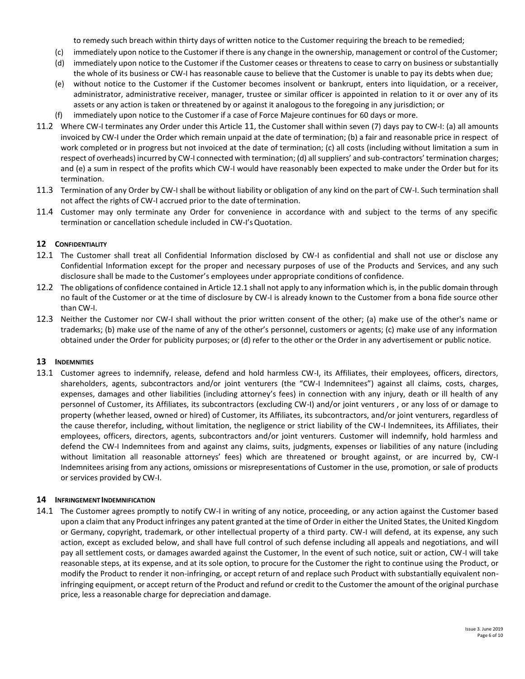to remedy such breach within thirty days of written notice to the Customer requiring the breach to be remedied;

- (c) immediately upon notice to the Customer if there is any change in the ownership, management or control of the Customer;
- (d) immediately upon notice to the Customer if the Customer ceases or threatens to cease to carry on business or substantially the whole of its business or CW-I has reasonable cause to believe that the Customer is unable to pay its debts when due;
- (e) without notice to the Customer if the Customer becomes insolvent or bankrupt, enters into liquidation, or a receiver, administrator, administrative receiver, manager, trustee or similar officer is appointed in relation to it or over any of its assets or any action is taken or threatened by or against it analogous to the foregoing in any jurisdiction; or
- (f) immediately upon notice to the Customer if a case of Force Majeure continues for 60 days or more.
- 11.2 Where CW-I terminates any Order under this Article [11](#page-4-1), the Customer shall within seven (7) days pay to CW-I: (a) all amounts invoiced by CW-I under the Order which remain unpaid at the date of termination; (b) a fair and reasonable price in respect of work completed or in progress but not invoiced at the date of termination; (c) all costs (including without limitation a sum in respect of overheads) incurred by CW-I connected with termination; (d) all suppliers' and sub-contractors' termination charges; and (e) a sum in respect of the profits which CW-I would have reasonably been expected to make under the Order but for its termination.
- 11.3 Termination of any Order by CW-I shall be without liability or obligation of any kind on the part of CW-I. Such termination shall not affect the rights of CW-I accrued prior to the date oftermination.
- 11.4 Customer may only terminate any Order for convenience in accordance with and subject to the terms of any specific termination or cancellation schedule included in CW-I'sQuotation.

## **12 CONFIDENTIALITY**

- <span id="page-5-0"></span>12.1 The Customer shall treat all Confidential Information disclosed by CW-I as confidential and shall not use or disclose any Confidential Information except for the proper and necessary purposes of use of the Products and Services, and any such disclosure shall be made to the Customer's employees under appropriate conditions of confidence.
- 12.2 The obligations of confidence contained in Articl[e 12.1](#page-5-0) shall not apply to any information which is, in the public domain through no fault of the Customer or at the time of disclosure by CW-I is already known to the Customer from a bona fide source other than CW-I.
- 12.3 Neither the Customer nor CW-I shall without the prior written consent of the other; (a) make use of the other's name or trademarks; (b) make use of the name of any of the other's personnel, customers or agents; (c) make use of any information obtained under the Order for publicity purposes; or (d) refer to the other or the Order in any advertisement or public notice.

#### **13 INDEMNITIES**

13.1 Customer agrees to indemnify, release, defend and hold harmless CW-I, its Affiliates, their employees, officers, directors, shareholders, agents, subcontractors and/or joint venturers (the "CW-I Indemnitees") against all claims, costs, charges, expenses, damages and other liabilities (including attorney's fees) in connection with any injury, death or ill health of any personnel of Customer, its Affiliates, its subcontractors (excluding CW-I) and/or joint venturers , or any loss of or damage to property (whether leased, owned or hired) of Customer, its Affiliates, its subcontractors, and/or joint venturers, regardless of the cause therefor, including, without limitation, the negligence or strict liability of the CW-I Indemnitees, its Affiliates, their employees, officers, directors, agents, subcontractors and/or joint venturers. Customer will indemnify, hold harmless and defend the CW-I Indemnitees from and against any claims, suits, judgments, expenses or liabilities of any nature (including without limitation all reasonable attorneys' fees) which are threatened or brought against, or are incurred by, CW-I Indemnitees arising from any actions, omissions or misrepresentations of Customer in the use, promotion, or sale of products or services provided by CW-I.

#### <span id="page-5-2"></span>**14 INFRINGEMENT INDEMNIFICATION**

<span id="page-5-1"></span>14.1 The Customer agrees promptly to notify CW-I in writing of any notice, proceeding, or any action against the Customer based upon a claim that any Product infringes any patent granted at the time of Order in either the United States, the United Kingdom or Germany, copyright, trademark, or other intellectual property of a third party. CW-I will defend, at its expense, any such action, except as excluded below, and shall have full control of such defense including all appeals and negotiations, and will pay all settlement costs, or damages awarded against the Customer, In the event of such notice, suit or action, CW-I will take reasonable steps, at its expense, and at its sole option, to procure for the Customer the right to continue using the Product, or modify the Product to render it non-infringing, or accept return of and replace such Product with substantially equivalent noninfringing equipment, or accept return of the Product and refund or credit to the Customer the amount of the original purchase price, less a reasonable charge for depreciation anddamage.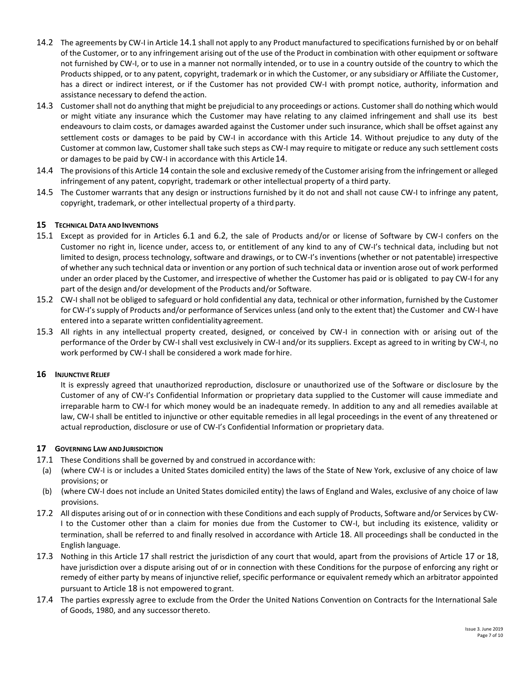- 14.2 The agreements by CW-I in Article [14.1](#page-5-1) shall not apply to any Product manufactured to specifications furnished by or on behalf of the Customer, or to any infringement arising out of the use of the Product in combination with other equipment or software not furnished by CW-I, or to use in a manner not normally intended, or to use in a country outside of the country to which the Products shipped, or to any patent, copyright, trademark or in which the Customer, or any subsidiary or Affiliate the Customer, has a direct or indirect interest, or if the Customer has not provided CW-I with prompt notice, authority, information and assistance necessary to defend the action.
- 14.3 Customer shall not do anything that might be prejudicial to any proceedings or actions. Customer shall do nothing which would or might vitiate any insurance which the Customer may have relating to any claimed infringement and shall use its best endeavours to claim costs, or damages awarded against the Customer under such insurance, which shall be offset against any settlement costs or damages to be paid by CW-I in accordance with this Article [14](#page-5-2). Without prejudice to any duty of the Customer at common law, Customer shall take such steps as CW-I may require to mitigate or reduce any such settlement costs or damages to be paid by CW-I in accordance with this Article[14](#page-5-2).
- 14.4 The provisions of this Article [14](#page-5-2) contain the sole and exclusive remedy of the Customer arising from the infringement or alleged infringement of any patent, copyright, trademark or other intellectual property of a third party.
- 14.5 The Customer warrants that any design or instructions furnished by it do not and shall not cause CW-I to infringe any patent, copyright, trademark, or other intellectual property of a third party.

## **15 TECHNICAL DATA AND INVENTIONS**

- 15.1 Except as provided for in Articles [6.1](#page-2-0) and [6.2](#page-2-2), the sale of Products and/or or license of Software by CW-I confers on the Customer no right in, licence under, access to, or entitlement of any kind to any of CW-I's technical data, including but not limited to design, process technology, software and drawings, or to CW-I's inventions (whether or not patentable) irrespective of whether any such technical data or invention or any portion of such technical data or invention arose out of work performed under an order placed by the Customer, and irrespective of whether the Customer has paid or is obligated to pay CW-I for any part of the design and/or development of the Products and/or Software.
- 15.2 CW-I shall not be obliged to safeguard or hold confidential any data, technical or other information, furnished by the Customer for CW-I's supply of Products and/or performance of Services unless (and only to the extent that) the Customer and CW-I have entered into a separate written confidentialityagreement.
- 15.3 All rights in any intellectual property created, designed, or conceived by CW-I in connection with or arising out of the performance of the Order by CW-I shall vest exclusively in CW-I and/or its suppliers. Except as agreed to in writing by CW-I, no work performed by CW-I shall be considered a work made forhire.

#### **16 INJUNCTIVE RELIEF**

It is expressly agreed that unauthorized reproduction, disclosure or unauthorized use of the Software or disclosure by the Customer of any of CW-I's Confidential Information or proprietary data supplied to the Customer will cause immediate and irreparable harm to CW-I for which money would be an inadequate remedy. In addition to any and all remedies available at law, CW-I shall be entitled to injunctive or other equitable remedies in all legal proceedings in the event of any threatened or actual reproduction, disclosure or use of CW-I's Confidential Information or proprietary data.

# <span id="page-6-0"></span>**17 GOVERNING LAW ANDJURISDICTION**

- <span id="page-6-1"></span>17.1 These Conditions shall be governed by and construed in accordance with:
- (a) (where CW-I is or includes a United States domiciled entity) the laws of the State of New York, exclusive of any choice of law provisions; or
- (b) (where CW-I does not include an United States domiciled entity) the laws of England and Wales, exclusive of any choice of law provisions.
- 17.2 All disputes arising out of or in connection with these Conditions and each supply of Products, Software and/or Services by CW-I to the Customer other than a claim for monies due from the Customer to CW-I, but including its existence, validity or termination, shall be referred to and finally resolved in accordance with Article [18](#page-7-0). All proceedings shall be conducted in the English language.
- 17.3 Nothing in this Article [17](#page-6-0) shall restrict the jurisdiction of any court that would, apart from the provisions of Article [17](#page-6-0) or [18](#page-7-0), have jurisdiction over a dispute arising out of or in connection with these Conditions for the purpose of enforcing any right or remedy of either party by means of injunctive relief, specific performance or equivalent remedy which an arbitrator appointed pursuant to Article [18](#page-7-0) is not empowered to grant.
- 17.4 The parties expressly agree to exclude from the Order the United Nations Convention on Contracts for the International Sale of Goods, 1980, and any successorthereto.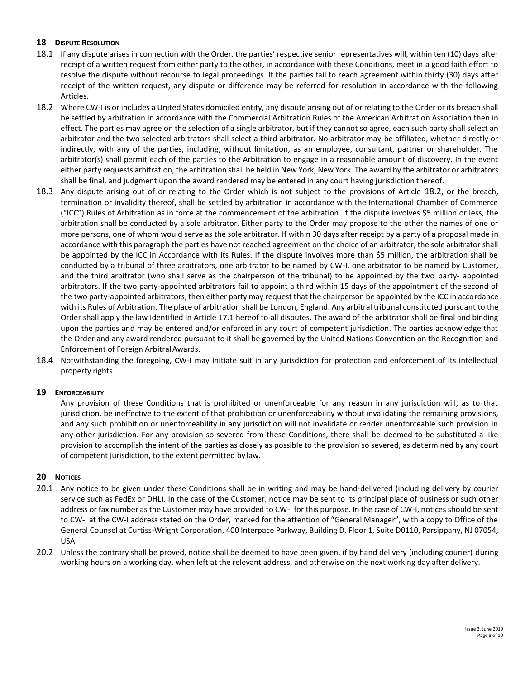# <span id="page-7-0"></span>**18 DISPUTE RESOLUTION**

- 18.1 If any dispute arises in connection with the Order, the parties' respective senior representatives will, within ten (10) days after receipt of a written request from either party to the other, in accordance with these Conditions, meet in a good faith effort to resolve the dispute without recourse to legal proceedings. If the parties fail to reach agreement within thirty (30) days after receipt of the written request, any dispute or difference may be referred for resolution in accordance with the following Articles.
- <span id="page-7-1"></span>18.2 Where CW-I is or includes a United States domiciled entity, any dispute arising out of or relating to the Order or its breach shall be settled by arbitration in accordance with the Commercial Arbitration Rules of the American Arbitration Association then in effect. The parties may agree on the selection of a single arbitrator, but if they cannot so agree, each such party shall select an arbitrator and the two selected arbitrators shall select a third arbitrator. No arbitrator may be affiliated, whether directly or indirectly, with any of the parties, including, without limitation, as an employee, consultant, partner or shareholder. The arbitrator(s) shall permit each of the parties to the Arbitration to engage in a reasonable amount of discovery. In the event either party requests arbitration, the arbitration shall be held in New York, New York. The award by the arbitrator or arbitrators shall be final, and judgment upon the award rendered may be entered in any court having jurisdiction thereof.
- 18.3 Any dispute arising out of or relating to the Order which is not subject to the provisions of Article [18.2](#page-7-1), or the breach, termination or invalidity thereof, shall be settled by arbitration in accordance with the International Chamber of Commerce ("ICC") Rules of Arbitration as in force at the commencement of the arbitration. If the dispute involves \$5 million or less, the arbitration shall be conducted by a sole arbitrator. Either party to the Order may propose to the other the names of one or more persons, one of whom would serve as the sole arbitrator. If within 30 days after receipt by a party of a proposal made in accordance with this paragraph the parties have not reached agreement on the choice of an arbitrator, the sole arbitrator shall be appointed by the ICC in Accordance with its Rules. If the dispute involves more than \$5 million, the arbitration shall be conducted by a tribunal of three arbitrators, one arbitrator to be named by CW-I, one arbitrator to be named by Customer, and the third arbitrator (who shall serve as the chairperson of the tribunal) to be appointed by the two party- appointed arbitrators. If the two party-appointed arbitrators fail to appoint a third within 15 days of the appointment of the second of the two party-appointed arbitrators, then either party may request that the chairperson be appointed by the ICC in accordance with its Rules of Arbitration. The place of arbitration shall be London, England. Any arbitral tribunal constituted pursuant to the Order shall apply the law identified in Article [17.1](#page-6-1) hereof to all disputes. The award of the arbitrator shall be final and binding upon the parties and may be entered and/or enforced in any court of competent jurisdiction. The parties acknowledge that the Order and any award rendered pursuant to it shall be governed by the United Nations Convention on the Recognition and Enforcement of Foreign ArbitralAwards.
- 18.4 Notwithstanding the foregoing, CW-I may initiate suit in any jurisdiction for protection and enforcement of its intellectual property rights.

# **19 ENFORCEABILITY**

Any provision of these Conditions that is prohibited or unenforceable for any reason in any jurisdiction will, as to that jurisdiction, be ineffective to the extent of that prohibition or unenforceability without invalidating the remaining provisions, and any such prohibition or unenforceability in any jurisdiction will not invalidate or render unenforceable such provision in any other jurisdiction. For any provision so severed from these Conditions, there shall be deemed to be substituted a like provision to accomplish the intent of the parties as closely as possible to the provision so severed, as determined by any court of competent jurisdiction, to the extent permitted by law.

# **20 NOTICES**

- 20.1 Any notice to be given under these Conditions shall be in writing and may be hand-delivered (including delivery by courier service such as FedEx or DHL). In the case of the Customer, notice may be sent to its principal place of business or such other address or fax number as the Customer may have provided to CW-I for this purpose. In the case of CW-I, notices should be sent to CW-I at the CW-I address stated on the Order, marked for the attention of "General Manager", with a copy to Office of the General Counsel at Curtiss-Wright Corporation, 400 Interpace Parkway, Building D, Floor 1, Suite D0110, Parsippany, NJ 07054, USA.
- 20.2 Unless the contrary shall be proved, notice shall be deemed to have been given, if by hand delivery (including courier) during working hours on a working day, when left at the relevant address, and otherwise on the next working day after delivery.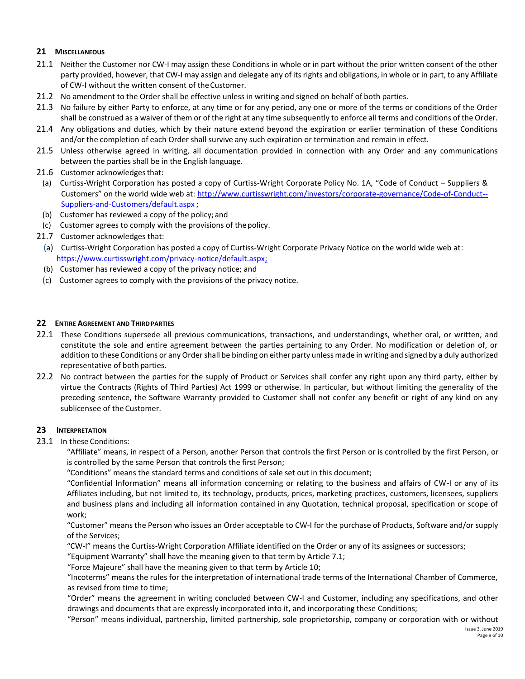# **21 MISCELLANEOUS**

- 21.1 Neither the Customer nor CW-I may assign these Conditions in whole or in part without the prior written consent of the other party provided, however, that CW-I may assign and delegate any of its rights and obligations, in whole or in part, to any Affiliate of CW-I without the written consent of theCustomer.
- 21.2 No amendment to the Order shall be effective unless in writing and signed on behalf of both parties.
- 21.3 No failure by either Party to enforce, at any time or for any period, any one or more of the terms or conditions of the Order shall be construed as a waiver of them or of the right at any time subsequently to enforce all terms and conditions of the Order.
- 21.4 Any obligations and duties, which by their nature extend beyond the expiration or earlier termination of these Conditions and/or the completion of each Order shall survive any such expiration or termination and remain in effect.
- 21.5 Unless otherwise agreed in writing, all documentation provided in connection with any Order and any communications between the parties shall be in the English language.
- 21.6 Customer acknowledges that:
- (a) Curtiss-Wright Corporation has posted a copy of Curtiss-Wright Corporate Policy No. 1A, "Code of Conduct Suppliers & Customers" on the world wide web at: [http://www.curtisswright.com/investors/corporate-governance/Code-of-Conduct--](http://www.curtisswright.com/investors/corporate-governance/Code-of-Conduct--Suppliers-and-Customers/default.aspx) [Suppliers-and-Customers/default.aspx](http://www.curtisswright.com/investors/corporate-governance/Code-of-Conduct--Suppliers-and-Customers/default.aspx) ;
- (b) Customer has reviewed a copy of the policy; and
- (c) Customer agrees to comply with the provisions of thepolicy.
- 21.7 Customer acknowledges that:
- (a) Curtiss-Wright Corporation has posted a copy of Curtiss-Wright Corporate Privacy Notice on the world wide web at: [https://www.curtisswright.com/privacy-notice/default.aspx;](https://www.curtisswright.com/privacy-notice/default.aspx)
- (b) Customer has reviewed a copy of the privacy notice; and
- (c) Customer agrees to comply with the provisions of the privacy notice.

## **22 ENTIRE AGREEMENT AND THIRDPARTIES**

- 22.1 These Conditions supersede all previous communications, transactions, and understandings, whether oral, or written, and constitute the sole and entire agreement between the parties pertaining to any Order. No modification or deletion of, or addition to these Conditions or any Order shall be binding on either party unless made in writing and signed by a duly authorized representative of both parties.
- 22.2 No contract between the parties for the supply of Product or Services shall confer any right upon any third party, either by virtue the Contracts (Rights of Third Parties) Act 1999 or otherwise. In particular, but without limiting the generality of the preceding sentence, the Software Warranty provided to Customer shall not confer any benefit or right of any kind on any sublicensee of the Customer.

#### **23 INTERPRETATION**

<span id="page-8-0"></span>23.1 In these Conditions:

"Affiliate" means, in respect of a Person, another Person that controls the first Person or is controlled by the first Person, or is controlled by the same Person that controls the first Person;

"Conditions" means the standard terms and conditions of sale set out in this document;

"Confidential Information" means all information concerning or relating to the business and affairs of CW-I or any of its Affiliates including, but not limited to, its technology, products, prices, marketing practices, customers, licensees, suppliers and business plans and including all information contained in any Quotation, technical proposal, specification or scope of work;

"Customer" means the Person who issues an Order acceptable to CW-I for the purchase of Products, Software and/or supply of the Services;

"CW-I" means the Curtiss-Wright Corporation Affiliate identified on the Order or any of its assignees or successors;

"Equipment Warranty" shall have the meaning given to that term by Article [7.1;](#page-3-2)

"Force Majeure" shall have the meaning given to that term by Article [10;](#page-4-2)

"Incoterms" means the rules for the interpretation of international trade terms of the International Chamber of Commerce, as revised from time to time;

"Order" means the agreement in writing concluded between CW-I and Customer, including any specifications, and other drawings and documents that are expressly incorporated into it, and incorporating these Conditions;

Issue 3. June 2019 "Person" means individual, partnership, limited partnership, sole proprietorship, company or corporation with or without